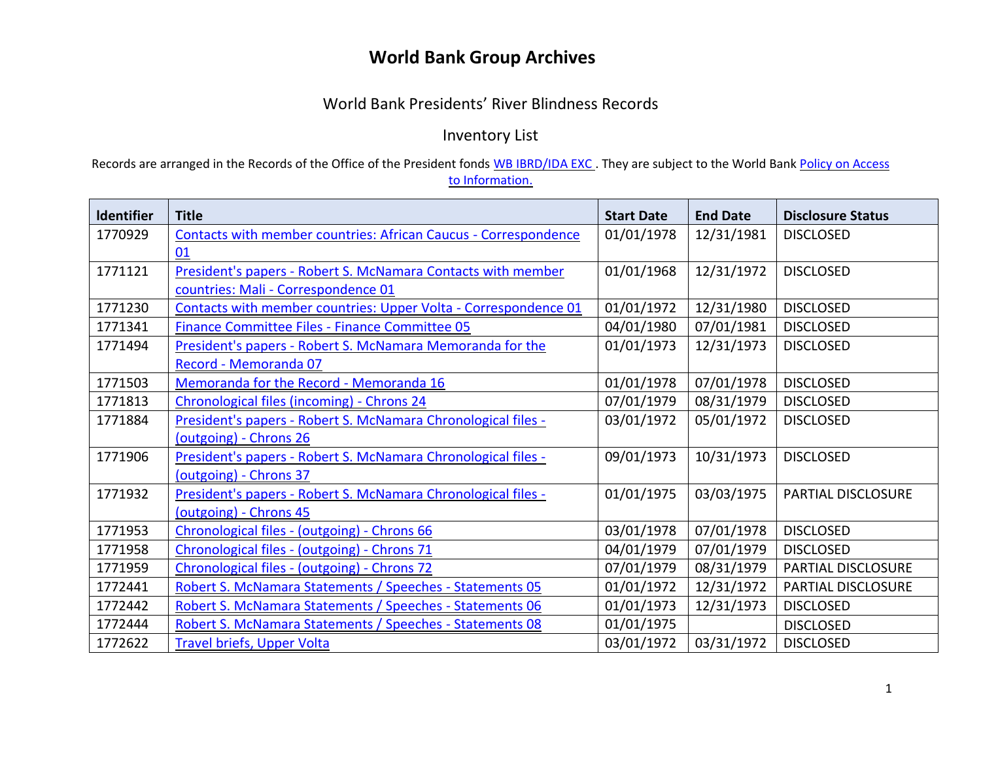## **World Bank Group Archives**

## World Bank Presidents' River Blindness Records

Inventory List

Records are arranged in the Records of the Office of the President fonds [WB IBRD/IDA EXC](https://archivesholdings.worldbank.org/records-of-office-of-president). They are subject to the World Bank Policy on Access [to Information.](https://www.worldbank.org/en/access-to-information)

| <b>Identifier</b> | <b>Title</b>                                                           | <b>Start Date</b> | <b>End Date</b> | <b>Disclosure Status</b>  |
|-------------------|------------------------------------------------------------------------|-------------------|-----------------|---------------------------|
| 1770929           | <b>Contacts with member countries: African Caucus - Correspondence</b> | 01/01/1978        | 12/31/1981      | <b>DISCLOSED</b>          |
|                   | 01                                                                     |                   |                 |                           |
| 1771121           | President's papers - Robert S. McNamara Contacts with member           | 01/01/1968        | 12/31/1972      | <b>DISCLOSED</b>          |
|                   | countries: Mali - Correspondence 01                                    |                   |                 |                           |
| 1771230           | Contacts with member countries: Upper Volta - Correspondence 01        | 01/01/1972        | 12/31/1980      | <b>DISCLOSED</b>          |
| 1771341           | Finance Committee Files - Finance Committee 05                         | 04/01/1980        | 07/01/1981      | <b>DISCLOSED</b>          |
| 1771494           | President's papers - Robert S. McNamara Memoranda for the              | 01/01/1973        | 12/31/1973      | <b>DISCLOSED</b>          |
|                   | Record - Memoranda 07                                                  |                   |                 |                           |
| 1771503           | Memoranda for the Record - Memoranda 16                                | 01/01/1978        | 07/01/1978      | <b>DISCLOSED</b>          |
| 1771813           | Chronological files (incoming) - Chrons 24                             | 07/01/1979        | 08/31/1979      | <b>DISCLOSED</b>          |
| 1771884           | President's papers - Robert S. McNamara Chronological files -          | 03/01/1972        | 05/01/1972      | <b>DISCLOSED</b>          |
|                   | (outgoing) - Chrons 26                                                 |                   |                 |                           |
| 1771906           | President's papers - Robert S. McNamara Chronological files -          | 09/01/1973        | 10/31/1973      | <b>DISCLOSED</b>          |
|                   | (outgoing) - Chrons 37                                                 |                   |                 |                           |
| 1771932           | President's papers - Robert S. McNamara Chronological files -          | 01/01/1975        | 03/03/1975      | <b>PARTIAL DISCLOSURE</b> |
|                   | (outgoing) - Chrons 45                                                 |                   |                 |                           |
| 1771953           | Chronological files - (outgoing) - Chrons 66                           | 03/01/1978        | 07/01/1978      | <b>DISCLOSED</b>          |
| 1771958           | Chronological files - (outgoing) - Chrons 71                           | 04/01/1979        | 07/01/1979      | <b>DISCLOSED</b>          |
| 1771959           | Chronological files - (outgoing) - Chrons 72                           | 07/01/1979        | 08/31/1979      | PARTIAL DISCLOSURE        |
| 1772441           | Robert S. McNamara Statements / Speeches - Statements 05               | 01/01/1972        | 12/31/1972      | PARTIAL DISCLOSURE        |
| 1772442           | Robert S. McNamara Statements / Speeches - Statements 06               | 01/01/1973        | 12/31/1973      | <b>DISCLOSED</b>          |
| 1772444           | Robert S. McNamara Statements / Speeches - Statements 08               | 01/01/1975        |                 | <b>DISCLOSED</b>          |
| 1772622           | <b>Travel briefs, Upper Volta</b>                                      | 03/01/1972        | 03/31/1972      | <b>DISCLOSED</b>          |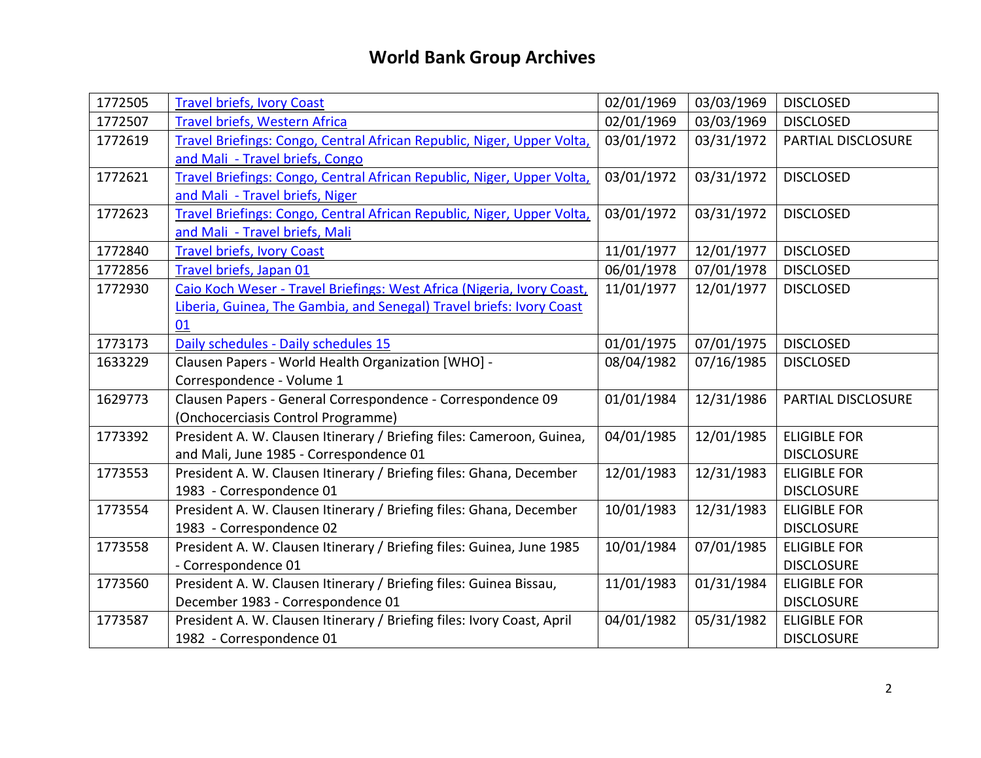## **World Bank Group Archives**

| 1772505 | <b>Travel briefs, Ivory Coast</b>                                      | 02/01/1969 | 03/03/1969 | <b>DISCLOSED</b>    |
|---------|------------------------------------------------------------------------|------------|------------|---------------------|
| 1772507 | <b>Travel briefs, Western Africa</b>                                   | 02/01/1969 | 03/03/1969 | <b>DISCLOSED</b>    |
| 1772619 | Travel Briefings: Congo, Central African Republic, Niger, Upper Volta, | 03/01/1972 | 03/31/1972 | PARTIAL DISCLOSURE  |
|         | and Mali - Travel briefs, Congo                                        |            |            |                     |
| 1772621 | Travel Briefings: Congo, Central African Republic, Niger, Upper Volta, | 03/01/1972 | 03/31/1972 | <b>DISCLOSED</b>    |
|         | and Mali - Travel briefs, Niger                                        |            |            |                     |
| 1772623 | Travel Briefings: Congo, Central African Republic, Niger, Upper Volta, | 03/01/1972 | 03/31/1972 | <b>DISCLOSED</b>    |
|         | and Mali - Travel briefs, Mali                                         |            |            |                     |
| 1772840 | <b>Travel briefs, Ivory Coast</b>                                      | 11/01/1977 | 12/01/1977 | <b>DISCLOSED</b>    |
| 1772856 | Travel briefs, Japan 01                                                | 06/01/1978 | 07/01/1978 | <b>DISCLOSED</b>    |
| 1772930 | Caio Koch Weser - Travel Briefings: West Africa (Nigeria, Ivory Coast, | 11/01/1977 | 12/01/1977 | <b>DISCLOSED</b>    |
|         | Liberia, Guinea, The Gambia, and Senegal) Travel briefs: Ivory Coast   |            |            |                     |
|         | 01                                                                     |            |            |                     |
| 1773173 | Daily schedules - Daily schedules 15                                   | 01/01/1975 | 07/01/1975 | <b>DISCLOSED</b>    |
| 1633229 | Clausen Papers - World Health Organization [WHO] -                     | 08/04/1982 | 07/16/1985 | <b>DISCLOSED</b>    |
|         | Correspondence - Volume 1                                              |            |            |                     |
| 1629773 | Clausen Papers - General Correspondence - Correspondence 09            | 01/01/1984 | 12/31/1986 | PARTIAL DISCLOSURE  |
|         | (Onchocerciasis Control Programme)                                     |            |            |                     |
| 1773392 | President A. W. Clausen Itinerary / Briefing files: Cameroon, Guinea,  | 04/01/1985 | 12/01/1985 | <b>ELIGIBLE FOR</b> |
|         | and Mali, June 1985 - Correspondence 01                                |            |            | <b>DISCLOSURE</b>   |
| 1773553 | President A. W. Clausen Itinerary / Briefing files: Ghana, December    | 12/01/1983 | 12/31/1983 | <b>ELIGIBLE FOR</b> |
|         | 1983 - Correspondence 01                                               |            |            | <b>DISCLOSURE</b>   |
| 1773554 | President A. W. Clausen Itinerary / Briefing files: Ghana, December    | 10/01/1983 | 12/31/1983 | <b>ELIGIBLE FOR</b> |
|         | 1983 - Correspondence 02                                               |            |            | <b>DISCLOSURE</b>   |
| 1773558 | President A. W. Clausen Itinerary / Briefing files: Guinea, June 1985  | 10/01/1984 | 07/01/1985 | <b>ELIGIBLE FOR</b> |
|         | - Correspondence 01                                                    |            |            | <b>DISCLOSURE</b>   |
| 1773560 | President A. W. Clausen Itinerary / Briefing files: Guinea Bissau,     | 11/01/1983 | 01/31/1984 | <b>ELIGIBLE FOR</b> |
|         | December 1983 - Correspondence 01                                      |            |            | <b>DISCLOSURE</b>   |
| 1773587 | President A. W. Clausen Itinerary / Briefing files: Ivory Coast, April | 04/01/1982 | 05/31/1982 | <b>ELIGIBLE FOR</b> |
|         | 1982 - Correspondence 01                                               |            |            | <b>DISCLOSURE</b>   |